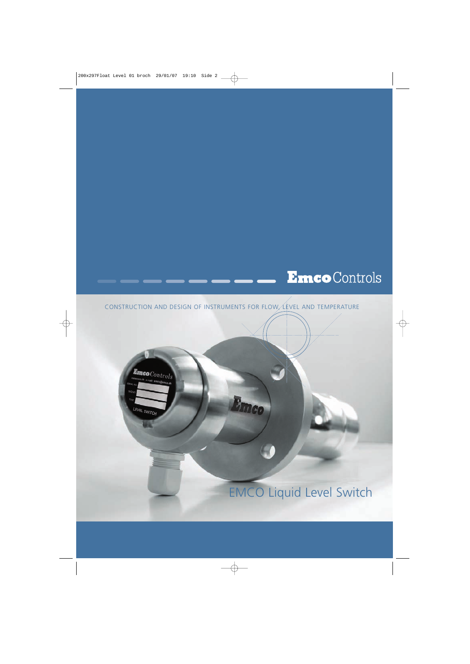## **Emco** Controls

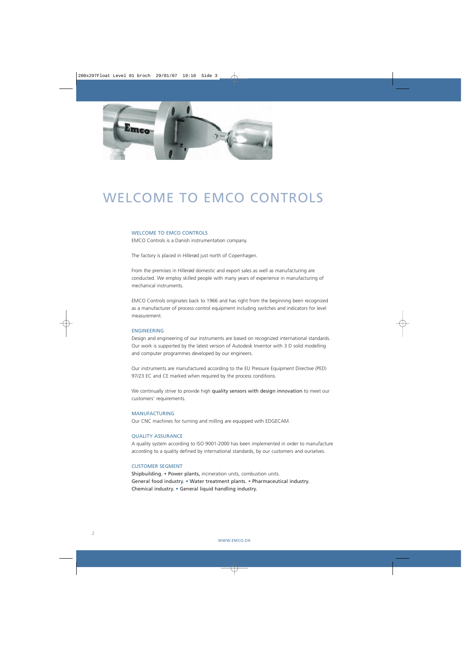

### WELCOME TO EMCO CONTROLS

### WELCOME TO EMCO CONTROLS

EMCO Controls is a Danish instrumentation company.

The factory is placed in Hillerød just north of Copenhagen.

From the premises in Hillerød domestic and export sales as well as manufacturing are conducted. We employ skilled people with many years of experience in manufacturing of mechanical instruments.

EMCO Controls originates back to 1966 and has right from the beginning been recognized as a manufacturer of process control equipment including switches and indicators for level measurement.

#### ENGINEERING

Design and engineering of our instruments are based on recognized international standards. Our work is supported by the latest version of Autodesk Inventor with 3 D solid modelling and computer programmes developed by our engineers.

Our instruments are manufactured according to the EU Pressure Equipment Directive (PED) 97/23 EC and CE marked when required by the process conditions.

We continually strive to provide high quality sensors with design innovation to meet our customers' requirements.

#### MANUFACTURING

Our CNC machines for turning and milling are equipped with EDGECAM.

#### QUALITY ASSURANCE

A quality system according to ISO 9001-2000 has been implemented in order to manufacture according to a quality defined by international standards, by our customers and ourselves.

#### CUSTOMER SEGMENT

Shipbuilding. • Power plants, incineration units, combustion units. General food industry. • Water treatment plants. • Pharmaceutical industry. Chemical industry. • General liquid handling industry.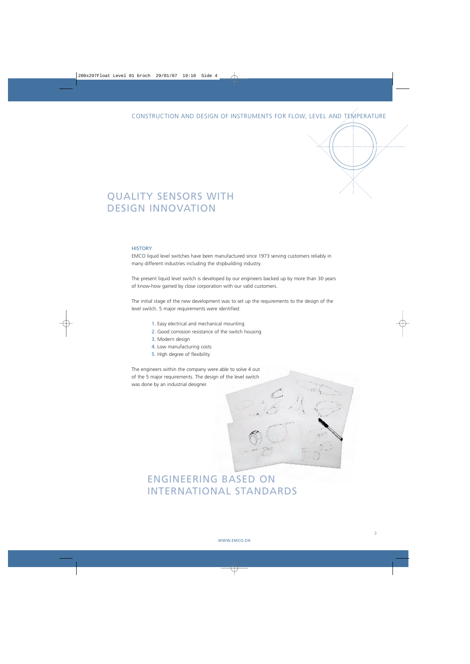### QUALITY SENSORS WITH DESIGN INNOVATION

#### **HISTORY**

EMCO liquid level switches have been manufactured since 1973 serving customers reliably in many different industries including the shipbuilding industry.

The present liquid level switch is developed by our engineers backed up by more than 30 years of know-how gained by close corporation with our valid customers.

The initial stage of the new development was to set up the requirements to the design of the level switch. 5 major requirements were identified:

- 1. Easy electrical and mechanical mounting
- 2. Good corrosion resistance of the switch housing
- 3. Modern design
- 4. Low manufacturing costs
- 5. High degree of flexibility

The engineers within the company were able to solve 4 out of the 5 major requirements. The design of the level switch was done by an industrial designer.

### ENGINEERING BASED ON INTERNATIONAL STANDARDS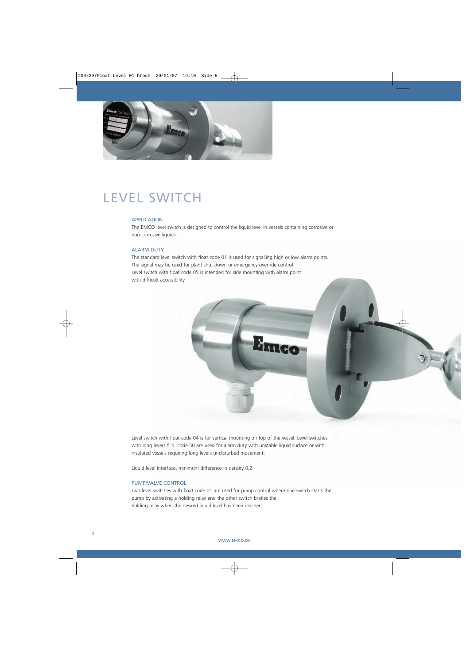

### LEVEL SWITCH

#### **APPLICATION**

The EMCO level switch is designed to control the liquid level in vessels containing corrosive or non-corrosive liquids.

### ALARM DUTY

The standard level switch with float code 01 is used for signalling high or low alarm points. The signal may be used for plant shut down or emergency override control. Level switch with float code 05 is intended for side mounting with alarm point with difficult accessibility.



Level switch with float code 04 is for vertical mounting on top of the vessel. Level switches with long levers f. d. code 50 are used for alarm duty with unstable liquid surface or with insulated vessels requiring long levers undisturbed movement.

Liquid level interface, minimum difference in density 0,2

### PUMP/VALVE CONTROL

Two level switches with float code 01 are used for pump control where one switch starts the pump by activating a holding relay and the other switch brakes the holding relay when the desired liquid level has been reached.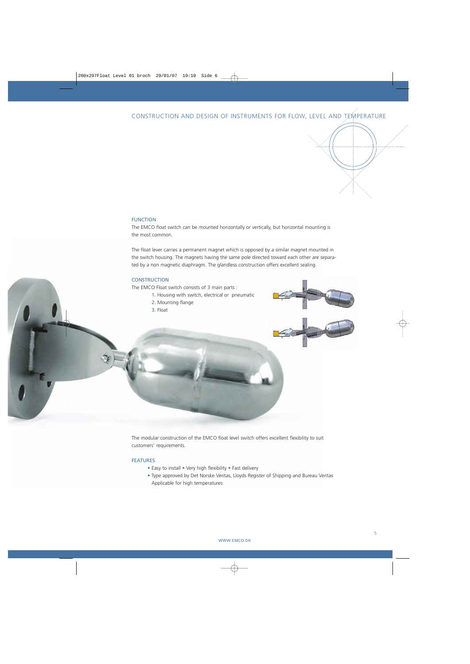### CONSTRUCTION AND DESIGN OF INSTRUMENTS FOR FLOW, LEVEL AND TEMPERATURE

### FUNCTION

The EMCO float switch can be mounted horizontally or vertically, but horizontal mounting is the most common.

The float lever carries a permanent magnet which is opposed by a similar magnet mounted in the switch housing. The magnets having the same pole directed toward each other are separated by a non magnetic diaphragm. The glandless construction offers excellent sealing.

#### **CONSTRUCTION**

The EMCO Float switch consists of 3 main parts :

- 1. Housing with switch, electrical or pneumatic
- 2. Mounting flange
- 3. Float



The modular construction of the EMCO float level switch offers excellent flexibility to suit customers' requirements.

#### FEATURES

- Easy to install Very high flexibility Fast delivery
- Type approved by Det Norske Veritas, Lloyds Register of Shipping and Bureau Veritas Applicable for high temperatures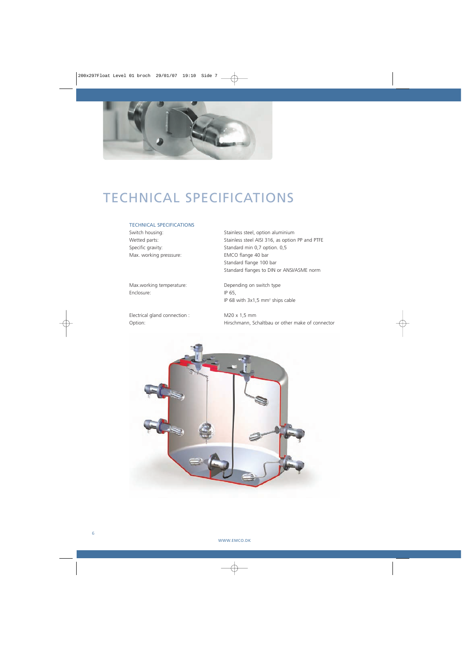

# TECHNICAL SPECIFICATIONS

### TECHNICAL SPECIFICATIONS

Max. working presssure: EMCO flange 40 bar

Max.working temperature: Depending on switch type Enclosure: IP 65,

Electrical gland connection : M20 x 1,5 mm

Switch housing: Switch housing: Stainless steel, option aluminium Wetted parts: Stainless steel AISI 316, as option PP and PTFE Specific gravity: Standard min 0,7 option. 0,5 Standard flange 100 bar Standard flanges to DIN or ANSI/ASME norm

IP 68 with 3x1,5 mm<sup>2</sup> ships cable

Option: Hirschmann, Schaltbau or other make of connector

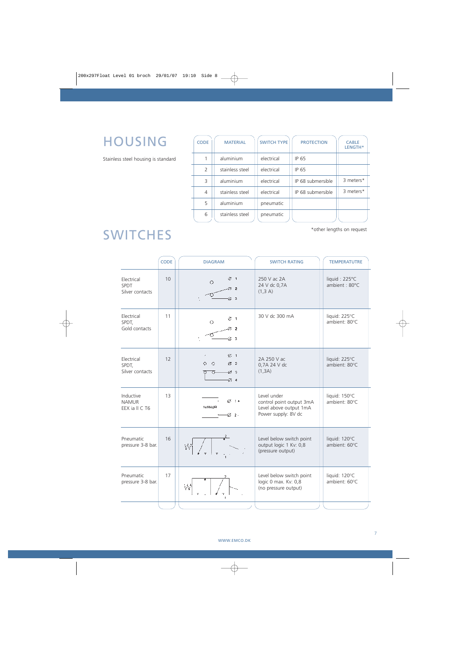## HOUSING

Stainless steel housing is standard

| <b>CODE</b>   | <b>MATERIAL</b> | <b>SWITCH TYPE</b> | <b>PROTECTION</b> | <b>CABLE</b><br>LENGTH* |
|---------------|-----------------|--------------------|-------------------|-------------------------|
|               | aluminium       | electrical         | IP 65             |                         |
| $\mathcal{L}$ | stainless steel | electrical         | IP 65             |                         |
| Β             | aluminium       | electrical         | IP 68 submersible | 3 meters*               |
| 4             | stainless steel | electrical         | IP 68 submersible | 3 meters*               |
| 5             | aluminium       | pneumatic          |                   |                         |
| 6             | stainless steel | pneumatic          |                   |                         |

### **SWITCHES**

\*other lengths on request

|                                             | <b>CODE</b> | <b>DIAGRAM</b>                                      | <b>SWITCH RATING</b>                                                                     | <b>TEMPERATUTRE</b>            |
|---------------------------------------------|-------------|-----------------------------------------------------|------------------------------------------------------------------------------------------|--------------------------------|
| Electrical<br>SPDT<br>Silver contacts       | 10          | ⊘ 1<br>O.                                           | 250 V ac 2A<br>24 V dc 0,7A<br>(1,3 A)                                                   | liquid: 225°C<br>ambient: 80°C |
| Electrical<br>SPDT,<br>Gold contacts        | 11          | Ø1<br>O<br>$\mathbf{I}$                             | 30 V dc 300 mA                                                                           | liquid: 225°C<br>ambient: 80°C |
| Electrical<br>SPDT,<br>Silver contacts      | 12          | $\varphi$ 1<br>Ó<br>$\circ$<br>$Z_{2}$<br>Ø3<br>⊘ 4 | 2A 250 V ac<br>0,7A 24 V dc<br>(1, 3A)                                                   | liquid: 225°C<br>ambient: 80°C |
| Inductive<br><b>NAMUR</b><br>EEX ia II C T6 | 13          | ⊘ 1∗<br>NAMUR<br>$-2$                               | Level under<br>control point output 3mA<br>Level above output 1mA<br>Power supply: 8V dc | liquid: 150°C<br>ambient: 80°C |
| Pneumatic<br>pressure 3-8 bar.              | 16          |                                                     | Level below switch point<br>output logic 1 Kv: 0,8<br>(pressure output)                  | liquid: 120°C<br>ambient: 60°C |
| Pneumatic<br>pressure 3-8 bar.              | 17          | W                                                   | Level below switch point<br>logic 0 max. Kv: 0,8<br>(no pressure output)                 | liquid: 120°C<br>ambient: 60°C |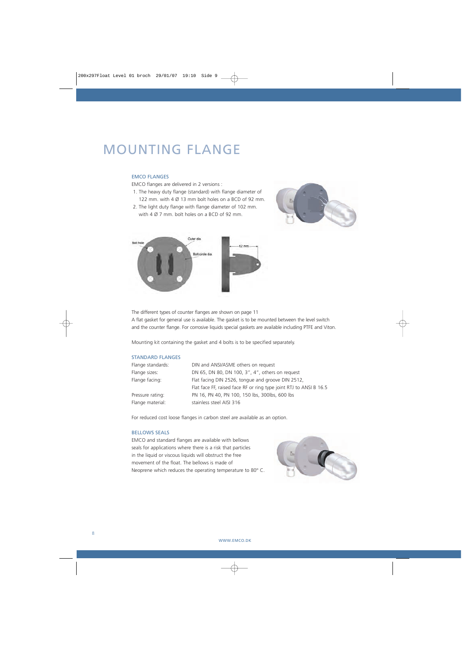### MOUNTING FLANGE

### EMCO FLANGES

EMCO flanges are delivered in 2 versions :

- 1. The heavy duty flange (standard) with flange diameter of 122 mm. with 4 Ø 13 mm bolt holes on a BCD of 92 mm.
- 2. The light duty flange with flange diameter of 102 mm. with 4 Ø 7 mm. bolt holes on a BCD of 92 mm.





The different types of counter flanges are shown on page 11 A flat gasket for general use is available. The gasket is to be mounted between the level switch and the counter flange. For corrosive liquids special gaskets are available including PTFE and Viton.

Mounting kit containing the gasket and 4 bolts is to be specified separately.

### STANDARD FLANGES

| Flange standards: | DIN and ANSI/ASME others on request                                |
|-------------------|--------------------------------------------------------------------|
| Flange sizes:     | DN 65, DN 80, DN 100, 3", 4", others on request                    |
| Flange facing:    | Flat facing DIN 2526, tongue and groove DIN 2512,                  |
|                   | Flat face FF, raised face RF or ring type joint RTJ to ANSI B 16.5 |
| Pressure rating:  | PN 16, PN 40, PN 100, 150 lbs, 300lbs, 600 lbs                     |
| Flange material:  | stainless steel AISI 316                                           |

For reduced cost loose flanges in carbon steel are available as an option.

### BELLOWS SEALS

EMCO and standard flanges are available with bellows seals for applications where there is a risk that particles in the liquid or viscous liquids will obstruct the free movement of the float. The bellows is made of Neoprene which reduces the operating temperature to 80° C.

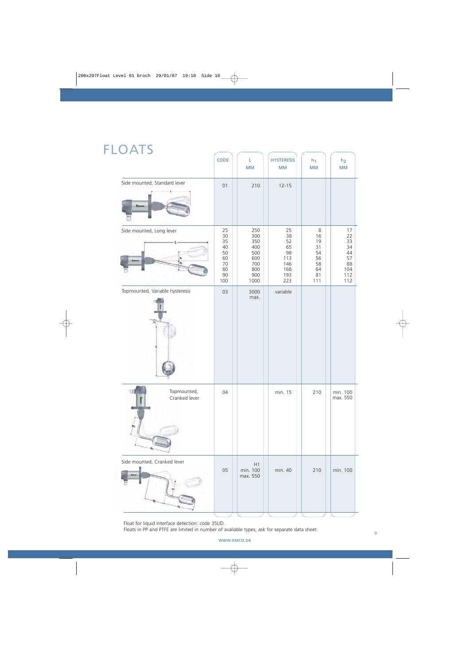### FLOATS

|                                      | CODE                                                      | L.<br>MM                                                            | <b>HYSTERESIS</b><br>$\mathsf{MM}$                            | $h_1$<br>$\mathsf{MM}$                                   | h <sub>2</sub><br>$\mathsf{MM}$                             |
|--------------------------------------|-----------------------------------------------------------|---------------------------------------------------------------------|---------------------------------------------------------------|----------------------------------------------------------|-------------------------------------------------------------|
| Side mounted, Standard lever<br>Emeo | 01                                                        | 210                                                                 | $12 - 15$                                                     |                                                          |                                                             |
| Side mounted, Long lever             | 25<br>30<br>35<br>40<br>50<br>60<br>70<br>80<br>90<br>100 | 250<br>300<br>350<br>400<br>500<br>600<br>700<br>800<br>900<br>1000 | 25<br>38<br>52<br>65<br>98<br>113<br>146<br>168<br>193<br>223 | 8<br>16<br>19<br>31<br>54<br>56<br>58<br>64<br>81<br>111 | 17<br>22<br>33<br>34<br>44<br>57<br>88<br>104<br>112<br>112 |
| Topmounted, Variable hysteresis      | 03                                                        | 3000<br>max.                                                        | variable                                                      |                                                          |                                                             |
| Topmounted,<br>Cranked lever         | 04                                                        |                                                                     | min. 15                                                       | 210                                                      | min. 100<br>max. 550                                        |
| Side mounted, Cranked lever          | 05                                                        | H1<br>min. 100<br>max. 550                                          | min. 40                                                       | 210                                                      | min. 100                                                    |

Float for liquid interface detection: code 35LID.

Floats in PP and PTFE are limited in number of available types, ask for separate data sheet.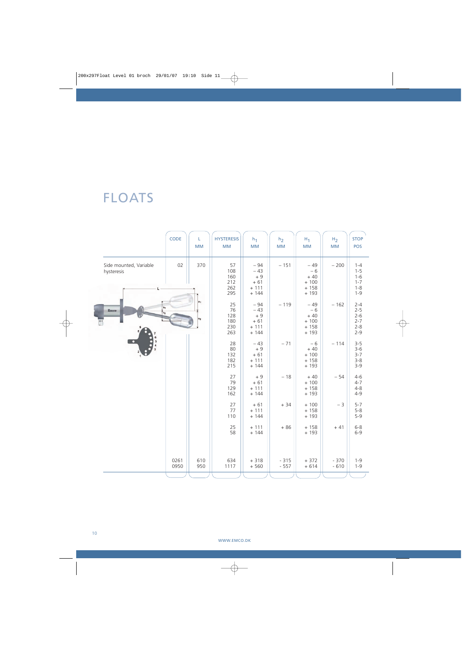# FLOATS

|                                      | CODE         | L<br><b>MM</b> | <b>HYSTERESIS</b><br><b>MM</b>        | $h_1$<br><b>MM</b>                                    | h <sub>2</sub><br><b>MM</b> | $H_1$<br><b>MM</b>                                    | H <sub>2</sub><br>MM | <b>STOP</b><br>POS                                             |
|--------------------------------------|--------------|----------------|---------------------------------------|-------------------------------------------------------|-----------------------------|-------------------------------------------------------|----------------------|----------------------------------------------------------------|
| Side mounted, Variable<br>hysteresis | 02           | 370            | 57<br>108<br>160<br>212<br>262<br>295 | $-94$<br>$-43$<br>$+9$<br>$+61$<br>$+ 111$<br>$+ 144$ | $-151$                      | $-49$<br>$-6$<br>$+40$<br>$+ 100$<br>$+158$<br>$+193$ | $-200$               | $1 - 4$<br>$1 - 5$<br>$1 - 6$<br>$1 - 7$<br>$1 - 8$<br>$1 - 9$ |
| Emco                                 |              | $H_1$<br>$H_2$ | 25<br>76<br>128<br>180<br>230<br>263  | $-94$<br>$-43$<br>$+9$<br>$+61$<br>$+ 111$<br>$+ 144$ | $-119$                      | $-49$<br>$-6$<br>$+40$<br>$+ 100$<br>$+158$<br>$+193$ | $-162$               | $2 - 4$<br>$2 - 5$<br>$2 - 6$<br>$2 - 7$<br>$2 - 8$<br>$2 - 9$ |
|                                      |              |                | 28<br>80<br>132<br>182<br>215         | $-43$<br>$+9$<br>$+61$<br>$+ 111$<br>$+ 144$          | $-71$                       | $-6$<br>$+40$<br>$+ 100$<br>$+158$<br>$+193$          | $-114$               | $3 - 5$<br>$3 - 6$<br>$3 - 7$<br>$3 - 8$<br>$3 - 9$            |
|                                      |              |                | 27<br>79<br>129<br>162                | $+9$<br>$+61$<br>$+ 111$<br>$+ 144$                   | $-18$                       | $+40$<br>$+100$<br>$+158$<br>$+193$                   | $-54$                | $4 - 6$<br>$4 - 7$<br>$4 - 8$<br>$4 - 9$                       |
|                                      |              |                | 27<br>77<br>110                       | $+61$<br>$+ 111$<br>$+ 144$                           | $+34$                       | $+ 100$<br>$+158$<br>$+193$                           | $-3$                 | $5 - 7$<br>$5 - 8$<br>$5 - 9$                                  |
|                                      |              |                | 25<br>58                              | $+ 111$<br>$+ 144$                                    | $+86$                       | $+158$<br>$+193$                                      | $+41$                | $6 - 8$<br>$6 - 9$                                             |
|                                      | 0261<br>0950 | 610<br>950     | 634<br>1117                           | $+318$<br>$+560$                                      | $-315$<br>$-557$            | $+372$<br>$+614$                                      | $-370$<br>$-610$     | $1 - 9$<br>$1 - 9$                                             |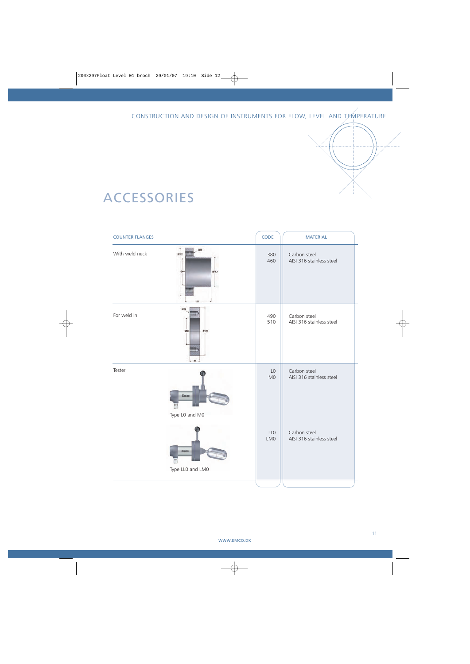CONSTRUCTION AND DESIGN OF INSTRUMENTS FOR FLOW, LEVEL AND TEMPERATURE

### ACCESSORIES

| <b>COUNTER FLANGES</b> |                             | CODE                             | <b>MATERIAL</b>                          |
|------------------------|-----------------------------|----------------------------------|------------------------------------------|
| With weld neck         | M12<br>0122<br>076.1<br>268 | 380<br>460                       | Carbon steel<br>AISI 316 stainless steel |
| For weld in            | MIG<br>mm<br>25             | 490<br>510                       | Carbon steel<br>AISI 316 stainless steel |
| Tester                 | Emco<br>Type L0 and M0      | L <sub>0</sub><br>M <sub>0</sub> | Carbon steel<br>AISI 316 stainless steel |
|                        | Emco<br>Type LLO and LMO    | LL <sub>0</sub><br>LM0           | Carbon steel<br>AISI 316 stainless steel |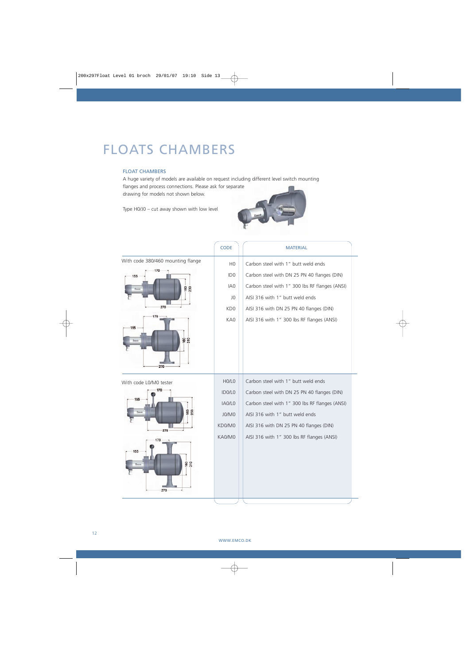### FLOATS CHAMBERS

### FLOAT CHAMBERS

A huge variety of models are available on request including different level switch mounting flanges and process connections. Please ask for separate drawing for models not shown below.

Type H0/J0 – cut away shown with low level



|                                   | <b>CODE</b>                     | <b>MATERIAL</b>                                |
|-----------------------------------|---------------------------------|------------------------------------------------|
| With code 380/460 mounting flange | H <sub>0</sub>                  | Carbon steel with 1" butt weld ends            |
| 170<br>155                        | ID <sub>0</sub>                 | Carbon steel with DN 25 PN 40 flanges (DIN)    |
| 160<br>230<br>Em                  | IA <sub>0</sub>                 | Carbon steel with 1" 300 lbs RF flanges (ANSI) |
|                                   | JO.                             | AISI 316 with 1" butt weld ends                |
| 270                               | KD <sub>0</sub>                 | AISI 316 with DN 25 PN 40 flanges (DIN)        |
| 170                               | KA0                             | AISI 316 with 1" 300 lbs RF flanges (ANSI)     |
| 155                               |                                 |                                                |
| ខ្លួ                              |                                 |                                                |
|                                   |                                 |                                                |
| 270                               |                                 |                                                |
| With code L0/M0 tester            | HO/LO                           | Carbon steel with 1" butt weld ends            |
|                                   | ID <sub>0</sub> /L <sub>0</sub> | Carbon steel with DN 25 PN 40 flanges (DIN)    |
| 155                               | IA0/LO                          | Carbon steel with 1" 300 lbs RF flanges (ANSI) |
| 8<br>g                            | J0/M0                           | AISI 316 with 1" butt weld ends                |
| 270                               | KD0/M0                          | AISI 316 with DN 25 PN 40 flanges (DIN)        |
|                                   | KA0/M0                          | AISI 316 with 1" 300 lbs RF flanges (ANSI)     |
| 155                               |                                 |                                                |
| 160<br>310<br>Emer                |                                 |                                                |
|                                   |                                 |                                                |
|                                   |                                 |                                                |
| 270                               |                                 |                                                |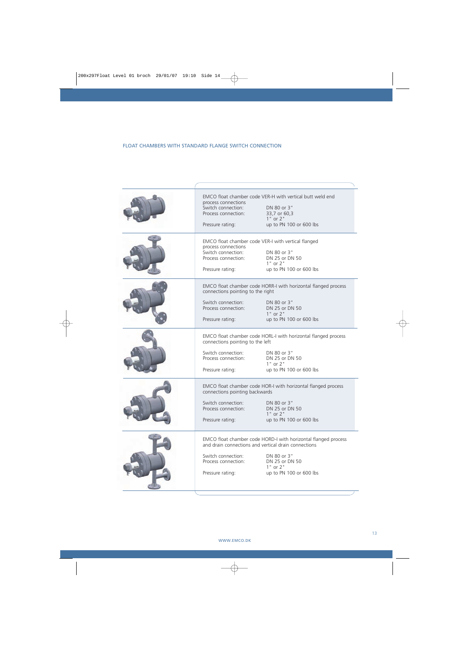### FLOAT CHAMBERS WITH STANDARD FLANGE SWITCH CONNECTION

| process connections<br>Switch connection:<br>Process connection:<br>Pressure rating:               | EMCO float chamber code VER-H with vertical butt weld end<br>DN 80 or 3"<br>33,7 or 60,3<br>$1"$ or $2"$<br>up to PN 100 or 600 lbs                                                                |
|----------------------------------------------------------------------------------------------------|----------------------------------------------------------------------------------------------------------------------------------------------------------------------------------------------------|
| process connections<br>Switch connection:<br>Process connection:<br>Pressure rating:               | EMCO float chamber code VER-I with vertical flanged<br>DN 80 or 3"<br>DN 25 or DN 50<br>$1"$ or $2"$<br>up to PN 100 or 600 lbs                                                                    |
| connections pointing to the right<br>Switch connection:<br>Process connection:<br>Pressure rating: | EMCO float chamber code HORR-I with horizontal flanged process<br>DN 80 or 3"<br>DN 25 or DN 50<br>$1"$ or $2"$<br>up to PN 100 or 600 lbs                                                         |
| connections pointing to the left<br>Switch connection:<br>Process connection:<br>Pressure rating:  | EMCO float chamber code HORL-I with horizontal flanged process<br>DN 80 or 3"<br>DN 25 or DN 50<br>$1"$ or $2"$<br>up to PN 100 or 600 lbs                                                         |
| connections pointing backwards<br>Switch connection:<br>Process connection:<br>Pressure rating:    | EMCO float chamber code HOR-I with horizontal flanged process<br>DN 80 or 3"<br>DN 25 or DN 50<br>$1"$ or $2"$<br>up to PN 100 or 600 lbs                                                          |
| Switch connection:<br>Process connection:<br>Pressure rating:                                      | EMCO float chamber code HORD-I with horizontal flanged process<br>and drain connections and vertical drain connections<br>DN 80 or 3"<br>DN 25 or DN 50<br>$1"$ or $2"$<br>up to PN 100 or 600 lbs |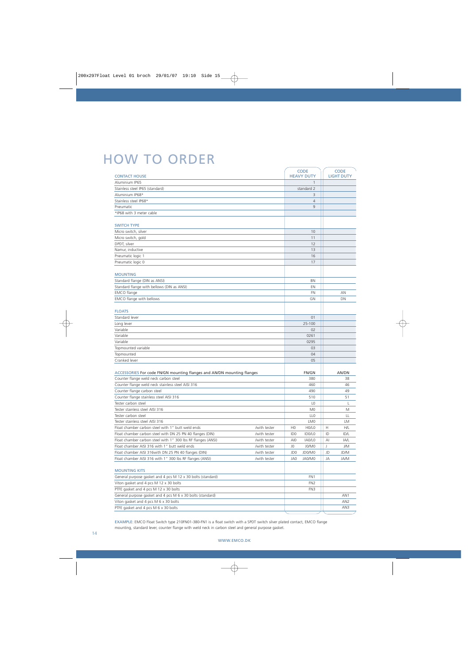## HOW TO ORDER

|                                                                        |              |                 | <b>CODE</b>                    |    | <b>CODE</b>       |
|------------------------------------------------------------------------|--------------|-----------------|--------------------------------|----|-------------------|
| <b>CONTACT HOUSE</b>                                                   |              |                 | <b>HEAVY DUTY</b>              |    | <b>LIGHT DUTY</b> |
| Aluminium IP65                                                         |              |                 | $\mathbf{1}$                   |    |                   |
| Stainless steel IP65 (standard)                                        |              |                 | standard 2                     |    |                   |
| Aluminium IP68*                                                        |              |                 | 3                              |    |                   |
| Stainless steel IP68*                                                  |              |                 | $\overline{4}$                 |    |                   |
| Pneumatic                                                              |              |                 | 9                              |    |                   |
| *IP68 with 3 meter cable                                               |              |                 |                                |    |                   |
|                                                                        |              |                 |                                |    |                   |
| <b>SWITCH TYPE</b>                                                     |              |                 |                                |    |                   |
| Micro switch, silver                                                   |              |                 | 10                             |    |                   |
| Micro switch, gold                                                     |              |                 | 11                             |    |                   |
| DPDT, silver                                                           |              |                 | 12                             |    |                   |
| Namur, inductive                                                       |              |                 | 13                             |    |                   |
| Pneumatic logic 1                                                      |              |                 | 16                             |    |                   |
| Pneumatic logic 0                                                      |              |                 | 17                             |    |                   |
|                                                                        |              |                 |                                |    |                   |
| <b>MOUNTING</b><br>Standard flange (DIN as ANSI)                       |              |                 | BN                             |    |                   |
|                                                                        |              |                 |                                |    |                   |
| Standard flange with bellows (DIN as ANSI)                             |              |                 | EN                             |    |                   |
| <b>EMCO</b> flange                                                     |              |                 | <b>FN</b>                      |    | AN                |
| EMCO flange with bellows                                               |              |                 | GN                             |    | DN                |
| <b>FLOATS</b>                                                          |              |                 |                                |    |                   |
| Standard lever                                                         |              |                 | 01                             |    |                   |
| Long lever                                                             |              |                 | 25-100                         |    |                   |
| Variable                                                               |              |                 | 02                             |    |                   |
| Variable                                                               |              |                 | 0261                           |    |                   |
| Variable                                                               |              |                 | 0295                           |    |                   |
| Topmounted variable                                                    |              |                 | 03                             |    |                   |
| Topmounted                                                             |              |                 | 04                             |    |                   |
| Cranked lever                                                          |              |                 | 05                             |    |                   |
|                                                                        |              |                 |                                |    |                   |
| ACCESSORIES For code FN/GN mounting flanges and AN/DN mounting flanges |              |                 | FN/GN                          |    | AN/DN             |
| Counter flange weld neck carbon steel                                  |              |                 | 380                            |    | 38                |
| Counter flange weld neck stainless steel AISI 316                      |              |                 | 460                            |    | 46                |
| Counter flange carbon steel                                            |              |                 | 490                            |    | 49                |
| Counter flange stainless steel AISI 316                                |              |                 | 510                            |    | 51                |
| Tester carbon steel                                                    |              |                 | L <sub>0</sub>                 |    | L                 |
| Tester stainless steel AISI 316                                        |              |                 | M <sub>0</sub>                 |    | M                 |
| Tester carbon steel                                                    |              |                 | LL <sub>0</sub>                |    | LL                |
| Tester stainless steel AISI 316                                        |              |                 | LM0                            |    | LM                |
| Float chamber carbon steel with 1" butt weld ends                      | /with tester | H <sub>0</sub>  | H <sub>0</sub> /L <sub>0</sub> | Н  | H/L               |
| Float chamber carbon steel with DN 25 PN 40 flanges (DIN)              | /with tester | ID <sub>0</sub> | ID0/L0                         | ID | ID/L              |
| Float chamber carbon steel with 1" 300 lbs RF flanges (ANSI)           | /with tester | AI0             | IA0/LO                         | Al | IA/L              |
| Float chamber AISI 316 with 1" butt weld ends                          | /with tester | JO.             | J0/M0                          | J  | J/M               |
| Float chamber AISI 316with DN 25 PN 40 flanges (DIN)                   | /with tester | JD <sub>0</sub> | JD0/M0                         | JD | JD/M              |
| Float chamber AISI 316 with 1" 300 lbs RF flanges (ANSI)               | /with tester | JA0             | JA0/M0                         | JA | JA/M              |
|                                                                        |              |                 |                                |    |                   |
| <b>MOUNTING KITS</b>                                                   |              |                 |                                |    |                   |
| General purpose gasket and 4 pcs M 12 x 30 bolts (standard)            |              |                 | FN1                            |    |                   |
| Viton gasket and 4 pcs M 12 x 30 bolts                                 |              |                 | FN <sub>2</sub>                |    |                   |
| PTFE gasket and 4 pcs M 12 x 30 bolts                                  |              |                 | FN3                            |    |                   |
| General purpose gasket and 4 pcs M 6 x 30 bolts (standard)             |              |                 |                                |    | AN1               |
| Viton gasket and 4 pcs M 6 x 30 bolts                                  |              |                 |                                |    | AN <sub>2</sub>   |
| PTFE gasket and 4 pcs M 6 x 30 bolts                                   |              |                 |                                |    | AN3               |

EXAMPLE: EMCO Float Switch type 210FN01-380-FN1 is a float switch with a SPDT switch silver plated contact, EMCO flange mounting, standard lever, counter flange with weld neck in carbon steel and general purpose gasket.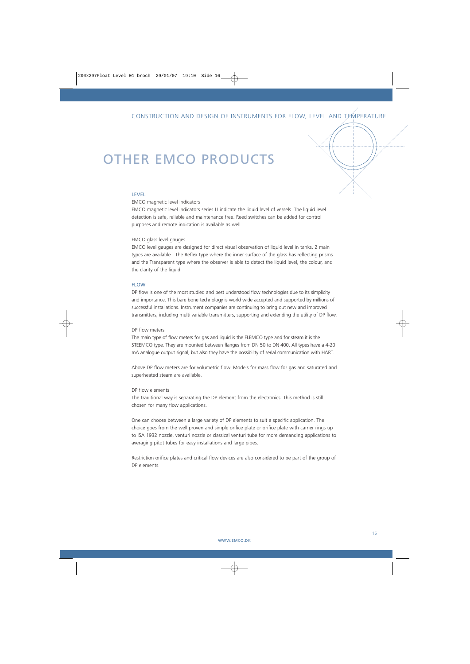### OTHER EMCO PRODUCTS

### LEVEL

#### EMCO magnetic level indicators

EMCO magnetic level indicators series LI indicate the liquid level of vessels. The liquid level detection is safe, reliable and maintenance free. Reed switches can be added for control purposes and remote indication is available as well.

#### EMCO glass level gauges

EMCO level gauges are designed for direct visual observation of liquid level in tanks. 2 main types are available : The Reflex type where the inner surface of the glass has reflecting prisms and the Transparent type where the observer is able to detect the liquid level, the colour, and the clarity of the liquid.

### FLOW

DP flow is one of the most studied and best understood flow technologies due to its simplicity and importance. This bare bone technology is world wide accepted and supported by millions of successful installations. Instrument companies are continuing to bring out new and improved transmitters, including multi variable transmitters, supporting and extending the utility of DP flow.

#### DP flow meters

The main type of flow meters for gas and liquid is the FLEMCO type and for steam it is the STEEMCO type. They are mounted between flanges from DN 50 to DN 400. All types have a 4-20 mA analogue output signal, but also they have the possibility of serial communication with HART.

Above DP flow meters are for volumetric flow. Models for mass flow for gas and saturated and superheated steam are available.

#### DP flow elements

The traditional way is separating the DP element from the electronics. This method is still chosen for many flow applications.

One can choose between a large variety of DP elements to suit a specific application. The choice goes from the well proven and simple orifice plate or orifice plate with carrier rings up to ISA 1932 nozzle, venturi nozzle or classical venturi tube for more demanding applications to averaging pitot tubes for easy installations and large pipes.

Restriction orifice plates and critical flow devices are also considered to be part of the group of DP elements.